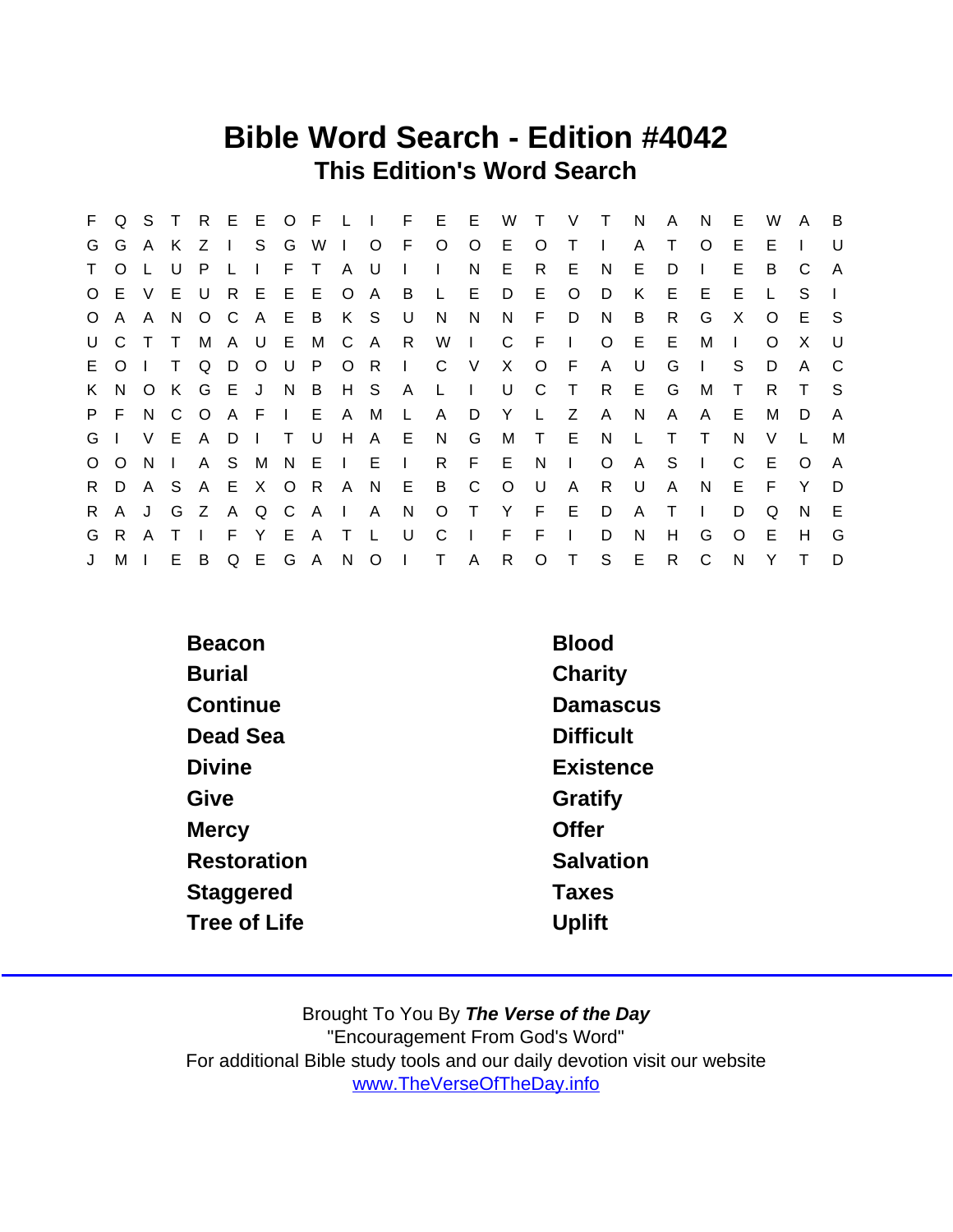## Bible Word Search - Edition #4042 This Edition's Word Search

|     |         |     |              |          |           |       |         |               |        |               |                 | F Q S T R E E O F L I F E E W T V T N |            |         |       |                |              |    | A            | N.             | E       | W       | - A     | $\overline{B}$ |
|-----|---------|-----|--------------|----------|-----------|-------|---------|---------------|--------|---------------|-----------------|---------------------------------------|------------|---------|-------|----------------|--------------|----|--------------|----------------|---------|---------|---------|----------------|
|     | G G     | A K |              |          | $Z$   S G |       |         |               |        |               | W I O F O       |                                       | $\circ$    | E O     |       | T <sub>1</sub> |              | A  | T.           | $\Omega$       | Е       | Е       |         | $\mathsf{U}$   |
|     | T O     |     | U.           | P.       |           |       |         | F T           |        | A U           | $\mathbf{L}$    | $\Box$                                | N          | E.      | R     | E              | N            | E. | D            |                | E.      | B       | C       | A              |
|     | O E V   |     |              | E U      |           |       |         | REEE          |        |               | O A B L         |                                       | E.         | D E     |       | $\circ$        | D            | K  | E.           | E              | E       |         | S.      |                |
|     | O A A N |     |              |          |           |       |         | O C A E B K S |        |               | U               | N                                     | N          |         | N F   | D              | N.           | B  | R.           | G              | X       | $\circ$ | E.      | - S            |
|     | U C T   |     | $\top$       |          |           |       |         |               |        |               | M A U E M C A R | $W$ I                                 |            | $C$ F I |       |                | $\circ$      | EE |              | м              |         | O       | X       | - U            |
|     | E O I   |     | $\top$       | $\Omega$ |           |       | D O U P |               |        |               | 0 R I C         |                                       | V          |         | X O F |                | $\mathsf{A}$ | U  | G            | $\blacksquare$ | S.      | D       | A       | C.             |
|     | K N O K |     |              |          | G E J N B |       |         |               |        |               |                 | H S A L I                             |            | U C     |       | $\top$         | R            | E. | G            | М              | T.      | R.      |         | S              |
|     | $P$ $F$ |     | N C          | $\circ$  |           |       |         |               |        | A F I E A M L |                 | A                                     |            | D Y L   |       | Z              | $\mathsf{A}$ | N  | $\mathsf{A}$ | $\mathsf{A}$   | - E     | м       | D       | A              |
| G I |         |     |              |          | V E A D I |       | $\top$  | U             |        |               | H A E           | N                                     | G          |         | M T E |                | N            | L. | $\top$       | $\top$         | N       | V       |         | M              |
|     | $O$ $O$ | N.  | $\mathbf{I}$ |          |           |       |         |               |        |               |                 | A S M N E I E I R F E N I             |            |         |       |                | $\circ$      | A  | S            | $\sim 1$ .     | C       | E       | $\circ$ | A              |
|     | R D A S |     |              |          |           |       |         | A E X O R     | A N    |               | E               | $\overline{B}$                        |            | $C$ $O$ | U     | $\overline{A}$ | R.           | U  | A            | N              | E.      | E       | Y       | D              |
|     | R A     | J   | G            | Z.       |           | A Q C |         |               |        | A I A         | N               | O T                                   |            | Y F E   |       |                | D            | A  | $\top$       | $\mathbf{I}$   | D       | Q       | N.      | E              |
| G   | R.      | A   |              |          |           | F Y E |         | A             | $\top$ | $\mathsf{L}$  | U               | C                                     | $\sim 1$ . | $F$ F   |       | $\mathbf{I}$   | D            | N  | H            | G              | $\circ$ | Е       | H       | G              |
| J   | M I     |     | E            | B.       |           |       |         |               |        |               |                 | Q E G A N O I T A                     |            |         | R O T |                | S E          |    | R            | $\mathsf{C}$   | N       | Y       |         | D              |

| Beacon        | <b>Blood</b>     |
|---------------|------------------|
| <b>Burial</b> | Charity          |
| Continue      | Damascus         |
| Dead Sea      | <b>Difficult</b> |
| <b>Divine</b> | Existence        |
| Give          | Gratify          |
| <b>Mercy</b>  | Offer            |
| Restoration   | Salvation        |
| Staggered     | <b>Taxes</b>     |
| Tree of Life  | Uplift           |
|               |                  |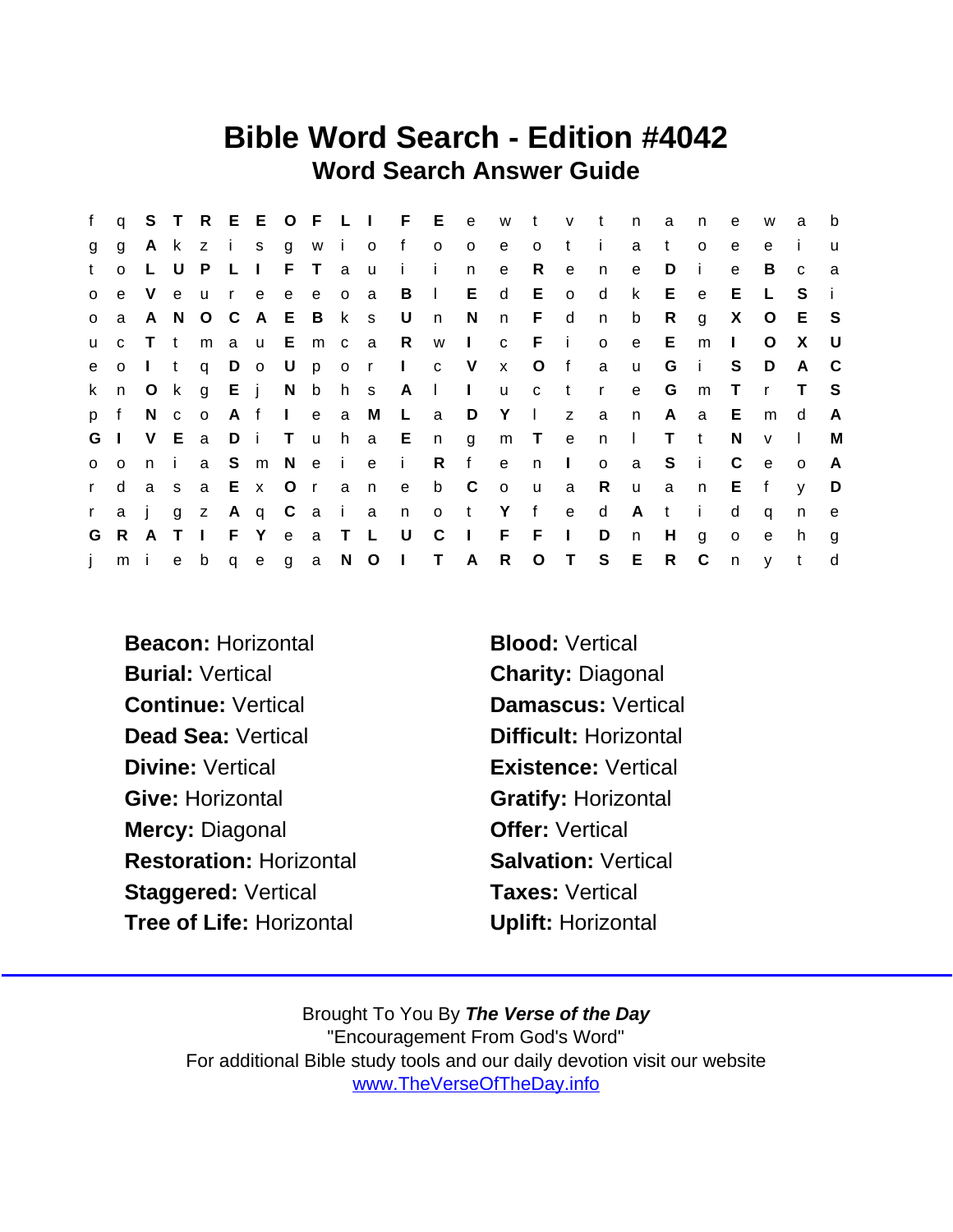## Bible Word Search - Edition #4042 Word Search Answer Guide

| f            |         |        |              |              |       |               |   |         |                 |                | q S T R E E O F L I F E e w t v t |            |              |         |              |              | n            | a a          | n            | e            | W            | a            | b   |
|--------------|---------|--------|--------------|--------------|-------|---------------|---|---------|-----------------|----------------|-----------------------------------|------------|--------------|---------|--------------|--------------|--------------|--------------|--------------|--------------|--------------|--------------|-----|
| g            | g       | A k    |              |              |       |               |   |         | zisgwiof        |                | $\circ$                           | $\circ$    | $\mathbf{e}$ | $\circ$ |              | t i          | a            | t            | $\circ$      | e            | e            |              | u   |
| t            | $\circ$ |        | L U          | $\mathsf{P}$ | L I   |               |   | F T a u |                 | $-1$           | $\mathbf{i}$                      | n          | e            | R       | e            | n            | $\mathbf{e}$ | D            | Ť.           | e            | B            | $\mathbf{C}$ | a   |
| $\mathsf{o}$ | e       | $\vee$ | $\mathbf{e}$ | <b>u</b>     |       | r e e e o a   |   |         |                 | $\overline{B}$ | $\sim 1$ .                        |            | E d          | E       | $\mathsf{o}$ | d            | k            | E.           | $\mathbf{e}$ | E.           |              | S.           |     |
| $\circ$      | a       | A N    |              |              |       | O C A E B k s |   |         |                 | $\cup$         | n                                 | N          | n            | F d     |              | n            | b            | R            | g            | X            | $\circ$      | E.           | - S |
| $\mathsf{u}$ |         | c T t  |              |              |       |               |   |         |                 |                | mau Emca R w I c F i              |            |              |         |              | $\circ$      | e            | E.           | m            | $\mathbf{L}$ | O            | X            | - U |
| e            |         | o I t  |              |              | q D o |               | U | por     |                 |                | $1$ c $V$ x                       |            |              | Ofa     |              |              | u            | G            | - i -        | S            | D            | A            | - C |
|              | k n O k |        |              |              | g E j |               |   |         |                 | N b h s A l    |                                   | $\sim 1$ . |              | u c t   |              | $\mathsf{r}$ | e            | G            | m            | $\top$       | $\mathbf{r}$ | $\top$       | - S |
| p f          |         | N c    |              | $\circ$      | A f   |               |   |         |                 | I e a M L a    |                                   |            | $D Y$        |         |              | z a          | n            | A            | $\alpha$     | - E          | m            | d            | A   |
| G I          |         |        |              | V E a D i    |       |               |   |         |                 | Tuha En        |                                   | g          |              | m T e   |              | n            | $\Box$       | $\top$       | $\mathbf{t}$ | N.           | $\mathsf{v}$ | -1           | M   |
| $\circ$      | $\circ$ | n i    |              |              |       |               |   |         | a S m N e i e i |                |                                   |            | R f e n l    |         |              | $\mathbf{o}$ | a            | Si           |              | C            | $\mathbf{e}$ | $\Omega$     | A   |
| $\mathbf{r}$ | d       | a s    |              |              |       | a E x O       |   | r a n   |                 | $-e$           | b C                               |            | o u          |         | a            | R            | $\mathsf{u}$ | a            | n            | E.           | f            | V            | D   |
| r            | a j     |        |              | $g$ z        |       |               |   |         |                 | Aq Caian       |                                   |            | o t Y f      |         | e            | d            | A            | t            | j.           | d            | q            | n            | e   |
| G            | R.      | A T    |              | $\mathbf{I}$ |       | F Y e a T L   |   |         |                 | $\cup$         | C                                 | $\sim 1$ . |              | $F \tF$ | $\mathbf{L}$ | D            | $\mathsf{n}$ | H            | g            | $\circ$      | e            | h            | g   |
| j.           | m i     |        |              |              |       |               |   |         |                 |                | e b q e g a N O I T A             |            |              | R O T   |              | S            | E            | $\mathsf{R}$ | $\mathsf{C}$ | n            | <b>V</b>     | t            | d   |

- Beacon: Horizontal Blood: Vertical Burial: Vertical **Charity: Diagonal** Continue: Vertical Damascus: Vertical Dead Sea: Vertical Difficult: Horizontal Divine: Vertical **Existence: Vertical** Give: Horizontal Gratify: Horizontal Mercy: Diagonal **Offer: Vertical** Restoration: Horizontal **Salvation: Vertical** Staggered: Vertical Taxes: Vertical Tree of Life: Horizontal **Uplift: Horizontal**
-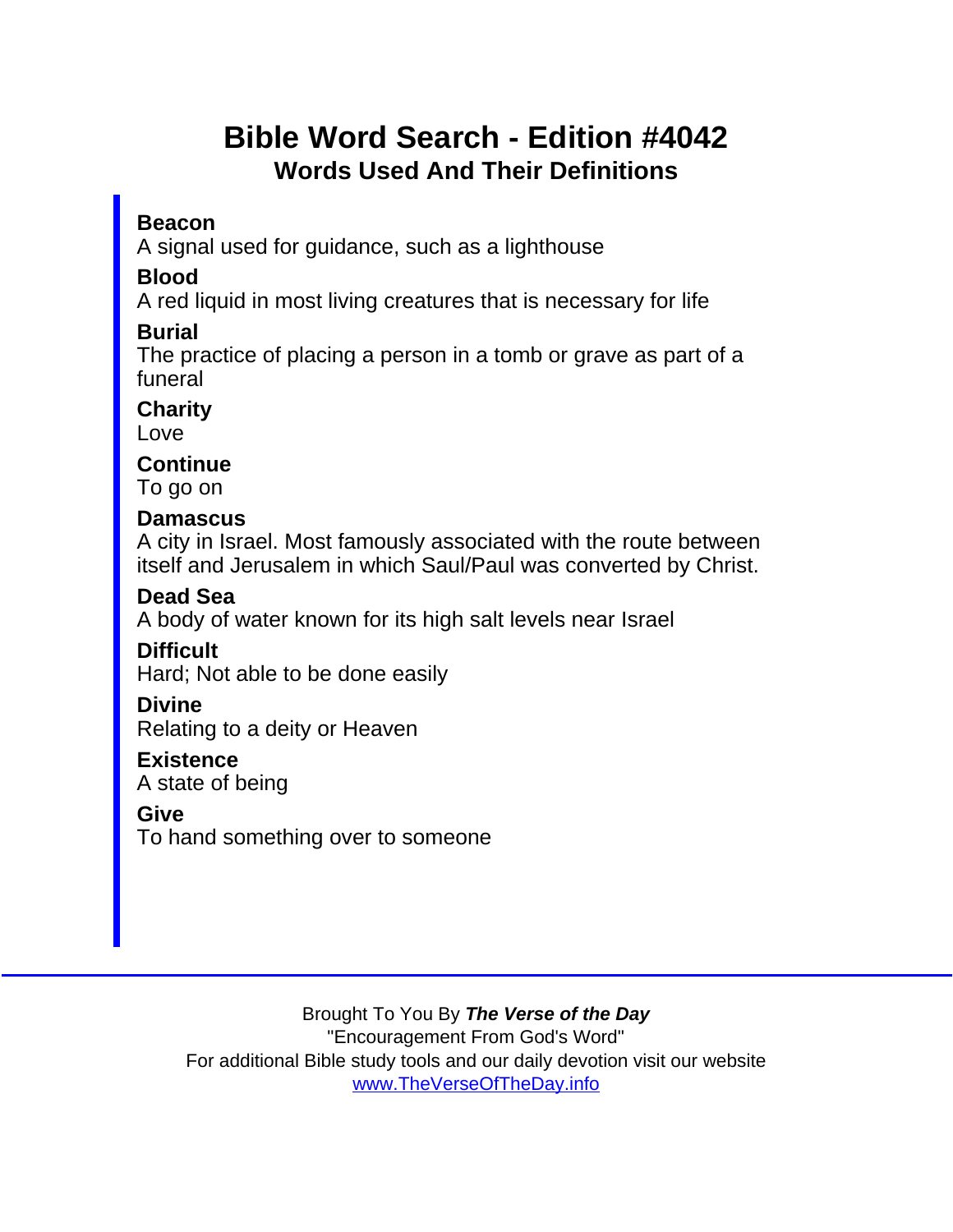# Bible Word Search - Edition #4042 Words Used And Their Definitions

Beacon

A signal used for guidance, such as a lighthouse

**Blood** 

A red liquid in most living creatures that is necessary for life

Burial

The practice of placing a person in a tomb or grave as part of a funeral

**Charity** Love

**Continue** To go on

**Damascus** 

A city in Israel. Most famously associated with the route between itself and Jerusalem in which Saul/Paul was converted by Christ.

Dead Sea

A body of water known for its high salt levels near Israel

**Difficult** 

Hard; Not able to be done easily

Divine

Relating to a deity or Heaven

**Existence** A state of being

**Give** 

To hand something over to someone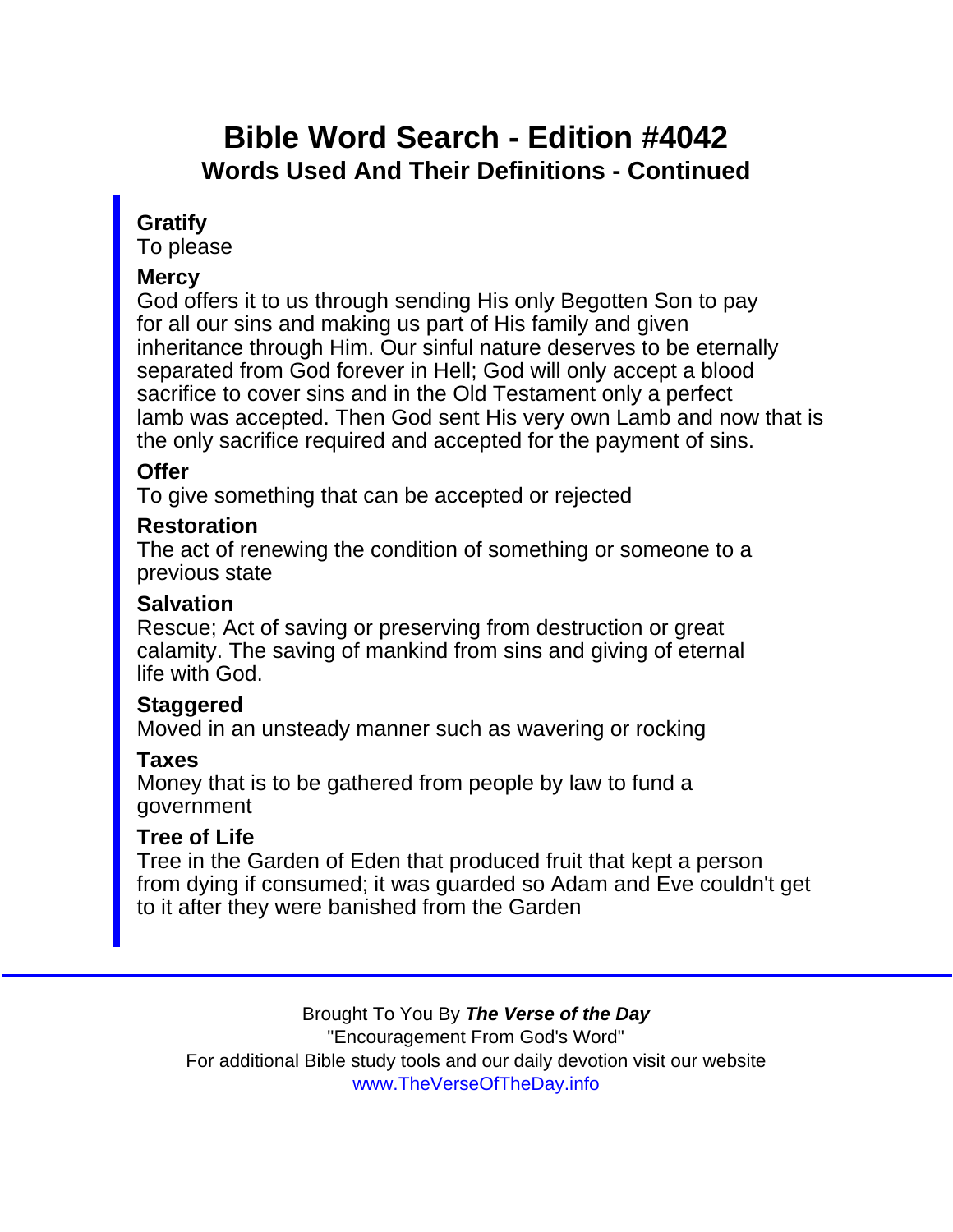## Bible Word Search - Edition #4042 Words Used And Their Definitions - Continued

### Gratify

To please

### **Mercy**

God offers it to us through sending His only Begotten Son to pay for all our sins and making us part of His family and given inheritance through Him. Our sinful nature deserves to be eternally separated from God forever in Hell; God will only accept a blood sacrifice to cover sins and in the Old Testament only a perfect lamb was accepted. Then God sent His very own Lamb and now that is the only sacrifice required and accepted for the payment of sins.

### **Offer**

To give something that can be accepted or rejected

Restoration

The act of renewing the condition of something or someone to a previous state

**Salvation** 

Rescue; Act of saving or preserving from destruction or great calamity. The saving of mankind from sins and giving of eternal life with God.

### **Staggered**

Moved in an unsteady manner such as wavering or rocking

Taxes

Money that is to be gathered from people by law to fund a government

Tree of Life

Tree in the Garden of Eden that produced fruit that kept a person from dying if consumed; it was guarded so Adam and Eve couldn't get to it after they were banished from the Garden